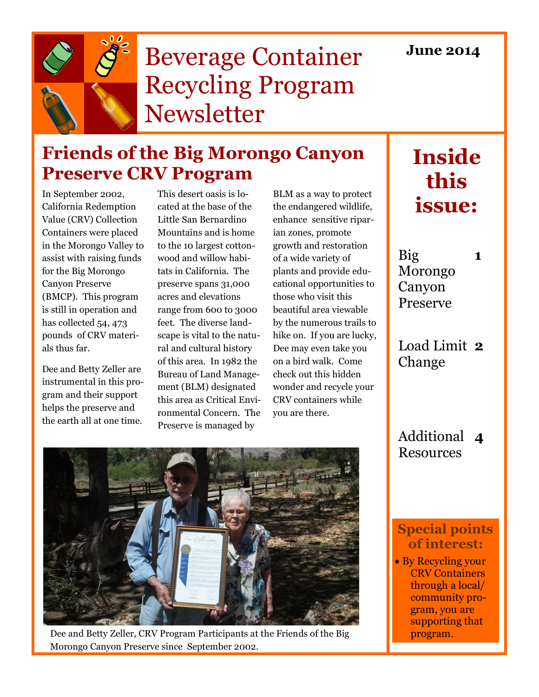

# Beverage Container Recycling Program Newsletter

## **Friends of the Big Morongo Canyon Preserve CRV Program**

In September 2002, California Redemption Value (CRV) Collection Containers were placed in the Morongo Valley to assist with raising funds for the Big Morongo Canyon Preserve (BMCP). This program is still in operation and has collected 54, 473 pounds of CRV materials thus far.

Dee and Betty Zeller are instrumental in this program and their support helps the preserve and the earth all at one time.

This desert oasis is located at the base of the Little San Bernardino Mountains and is home to the 10 largest cottonwood and willow habitats in California. The preserve spans 31,000 acres and elevations range from 600 to 3000 feet. The diverse landscape is vital to the natural and cultural history of this area. In 1982 the Bureau of Land Management (BLM) designated this area as Critical Environmental Concern. The Preserve is managed by

BLM as a way to protect the endangered wildlife, enhance sensitive riparian zones, promote growth and restoration of a wide variety of plants and provide educational opportunities to those who visit this beautiful area viewable by the numerous trails to hike on. If you are lucky, Dee may even take you on a bird walk. Come check out this hidden wonder and recycle your CRV containers while you are there.

# **Inside this issue:**

Big Morongo Canyon Preserve

**1**

Load Limit **2** Change

Additional **4 Resources** 

Dee and Betty Zeller, CRV Program Participants at the Friends of the Big program. Morongo Canyon Preserve since September 2002.

#### **Special points of interest:**

• By Recycling your CRV Containers through a local/ community program, you are supporting that

#### **June 2014**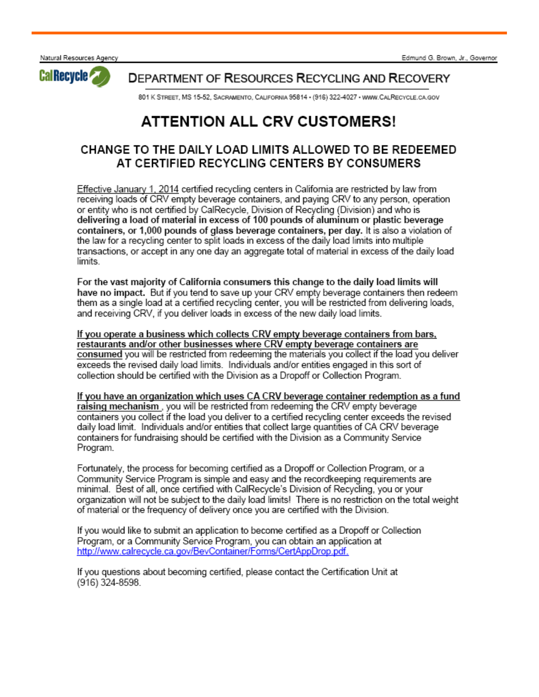Natural Resources Agency



**DEPARTMENT OF RESOURCES RECYCLING AND RECOVERY** 

801 K STREET, MS 15-52, SACRAMENTO, CALIFORNIA 95814 - (916) 322-4027 - WWW.CALRECYCLE.CA.GOV

### **ATTENTION ALL CRV CUSTOMERS!**

#### CHANGE TO THE DAILY LOAD LIMITS ALLOWED TO BE REDEEMED AT CERTIFIED RECYCLING CENTERS BY CONSUMERS

Effective January 1, 2014 certified recycling centers in California are restricted by law from receiving loads of CRV empty beverage containers, and paying CRV to any person, operation or entity who is not certified by CalRecycle, Division of Recycling (Division) and who is delivering a load of material in excess of 100 pounds of aluminum or plastic beverage containers, or 1,000 pounds of glass beverage containers, per day. It is also a violation of the law for a recycling center to split loads in excess of the daily load limits into multiple transactions, or accept in any one day an aggregate total of material in excess of the daily load limits.

For the vast majority of California consumers this change to the daily load limits will have no impact. But if you tend to save up your CRV empty beverage containers then redeem them as a single load at a certified recycling center, you will be restricted from delivering loads, and receiving CRV, if you deliver loads in excess of the new daily load limits.

If you operate a business which collects CRV empty beverage containers from bars, restaurants and/or other businesses where CRV empty beverage containers are consumed you will be restricted from redeeming the materials you collect if the load you deliver exceeds the revised daily load limits. Individuals and/or entities engaged in this sort of collection should be certified with the Division as a Dropoff or Collection Program.

If you have an organization which uses CA CRV beverage container redemption as a fund raising mechanism, you will be restricted from redeeming the CRV empty beverage containers you collect if the load you deliver to a certified recycling center exceeds the revised daily load limit. Individuals and/or entities that collect large quantities of CA CRV beverage containers for fundraising should be certified with the Division as a Community Service Program.

Fortunately, the process for becoming certified as a Dropoff or Collection Program, or a Community Service Program is simple and easy and the recordkeeping requirements are minimal. Best of all, once certified with CalRecycle's Division of Recycling, you or your organization will not be subject to the daily load limits! There is no restriction on the total weight of material or the frequency of delivery once you are certified with the Division.

If you would like to submit an application to become certified as a Dropoff or Collection Program, or a Community Service Program, you can obtain an application at http://www.calrecycle.ca.gov/BevContainer/Forms/CertAppDrop.pdf.

If you questions about becoming certified, please contact the Certification Unit at  $(916)$  324-8598.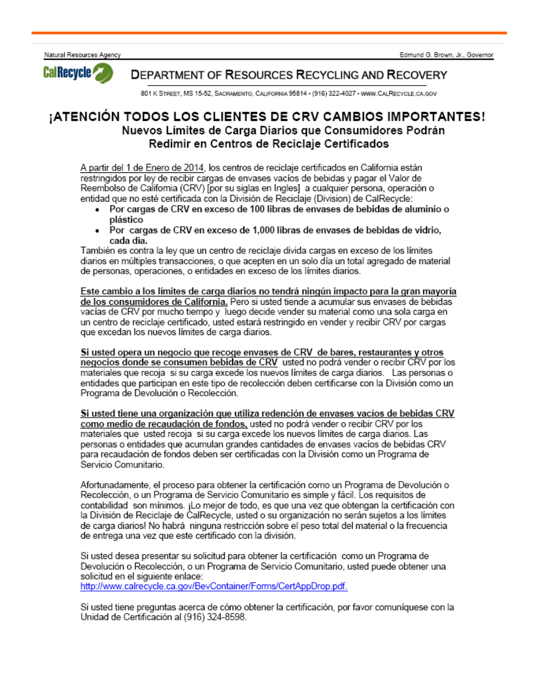Natural Resources Agency



**DEPARTMENT OF RESOURCES RECYCLING AND RECOVERY** 

801 K STREET, MS 15-52, SACRAMENTO, CALIFORNIA 95814 · (916) 322-4027 · WWW.CALRECYCLE.CA.GOV

#### ¡ATENCIÓN TODOS LOS CLIENTES DE CRV CAMBIOS IMPORTANTES! Nuevos Límites de Carga Diarios que Consumidores Podrán Redimir en Centros de Reciclaie Certificados

A partir del 1 de Enero de 2014, los centros de reciclaje certificados en California están restringidos por ley de recibir cargas de envases vacíos de bebidas y pagar el Valor de Reembolso de California (CRV) [por su siglas en Ingles] a cualquier persona, operación o entidad que no esté certificada con la División de Reciclaje (Division) de CalRecycle:

- Por cargas de CRV en exceso de 100 libras de envases de bebidas de aluminio o plástico
- Por cargas de CRV en exceso de 1.000 libras de envases de bebidas de vidrio.  $\bullet$ cada día.

También es contra la ley que un centro de reciclaje divida cargas en exceso de los límites diarios en múltiples transacciones, o que acepten en un solo día un total agregado de material de personas, operaciones, o entidades en exceso de los límites diarios.

Este cambio a los límites de carga diarios no tendrá ningún impacto para la gran mayoría de los consumidores de California. Pero si usted tiende a acumular sus envases de bebidas vacías de CRV por mucho tiempo y luego decide vender su material como una sola carga en un centro de reciclaie certificado, usted estará restringido en vender y recibir CRV por cargas que excedan los nuevos límites de carga diarios.

Si usted opera un negocio que recoge envases de CRV de bares, restaurantes y otros negocios donde se consumen bebidas de CRV usted no podrá vender o recibir CRV por los materiales que recoja si su carga excede los nuevos límites de carga diarios. Las personas o entidades que participan en este tipo de recolección deben certificarse con la División como un Programa de Devolución o Recolección.

Si usted tiene una organización que utiliza redención de envases vacíos de bebidas CRV como medio de recaudación de fondos, usted no podrá vender o recibir CRV por los materiales que usted recoja si su carga excede los nuevos límites de carga diarios. Las personas o entidades que acumulan grandes cantidades de envases vacíos de bebidas CRV para recaudación de fondos deben ser certificadas con la División como un Programa de Servicio Comunitario.

Afortunadamente, el proceso para obtener la certificación como un Programa de Devolución o Recolección, o un Programa de Servicio Comunitario es simple y fácil. Los reguisitos de contabilidad son mínimos. ¡Lo mejor de todo, es que una vez que obtengan la certificación con la División de Reciclaje de CalRecycle, usted o su organización no serán sujetos a los límites de carga diarios! No habrá ninguna restricción sobre el peso total del material o la frecuencia de entrega una vez que este certificado con la división.

Si usted desea presentar su solicitud para obtener la certificación como un Programa de Devolución o Recolección, o un Programa de Servicio Comunitario, usted puede obtener una solicitud en el siguiente enlace: http://www.calrecycle.ca.gov/BevContainer/Forms/CertAppDrop.pdf.

Si usted tiene preguntas acerca de cómo obtener la certificación, por favor comuníquese con la Unidad de Certificación al (916) 324-8598.